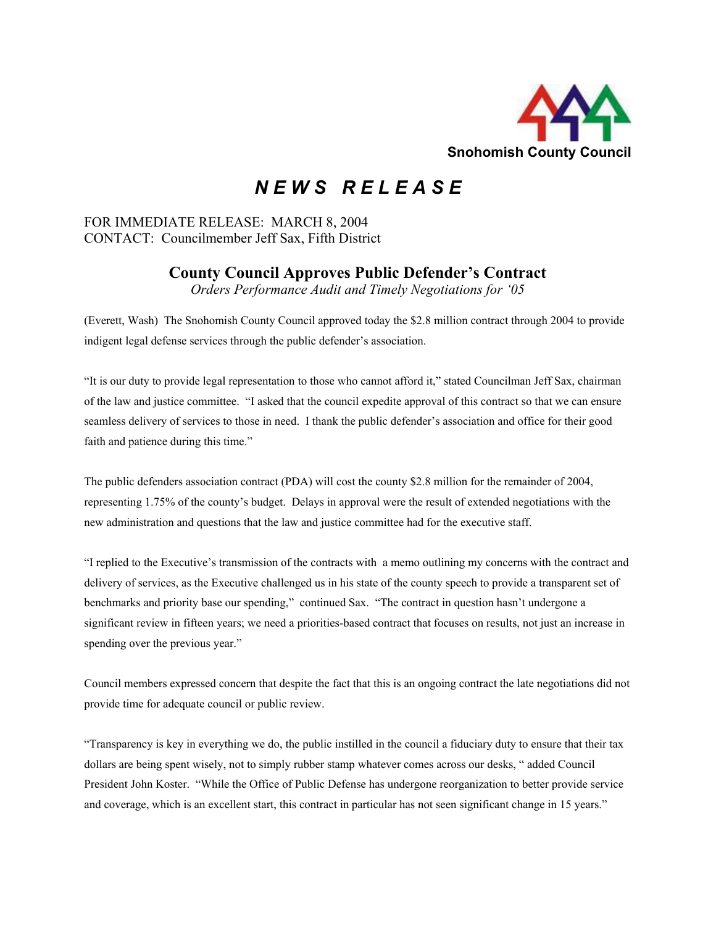

## *N E W S R E L E A S E*

## FOR IMMEDIATE RELEASE: MARCH 8, 2004 CONTACT: Councilmember Jeff Sax, Fifth District

## **County Council Approves Public Defender's Contract**

*Orders Performance Audit and Timely Negotiations for '05*

(Everett, Wash) The Snohomish County Council approved today the \$2.8 million contract through 2004 to provide indigent legal defense services through the public defender's association.

"It is our duty to provide legal representation to those who cannot afford it," stated Councilman Jeff Sax, chairman of the law and justice committee. "I asked that the council expedite approval of this contract so that we can ensure seamless delivery of services to those in need. I thank the public defender's association and office for their good faith and patience during this time."

The public defenders association contract (PDA) will cost the county \$2.8 million for the remainder of 2004, representing 1.75% of the county's budget. Delays in approval were the result of extended negotiations with the new administration and questions that the law and justice committee had for the executive staff.

"I replied to the Executive's transmission of the contracts with a memo outlining my concerns with the contract and delivery of services, as the Executive challenged us in his state of the county speech to provide a transparent set of benchmarks and priority base our spending," continued Sax. "The contract in question hasn't undergone a significant review in fifteen years; we need a priorities-based contract that focuses on results, not just an increase in spending over the previous year."

Council members expressed concern that despite the fact that this is an ongoing contract the late negotiations did not provide time for adequate council or public review.

"Transparency is key in everything we do, the public instilled in the council a fiduciary duty to ensure that their tax dollars are being spent wisely, not to simply rubber stamp whatever comes across our desks, " added Council President John Koster. "While the Office of Public Defense has undergone reorganization to better provide service and coverage, which is an excellent start, this contract in particular has not seen significant change in 15 years."